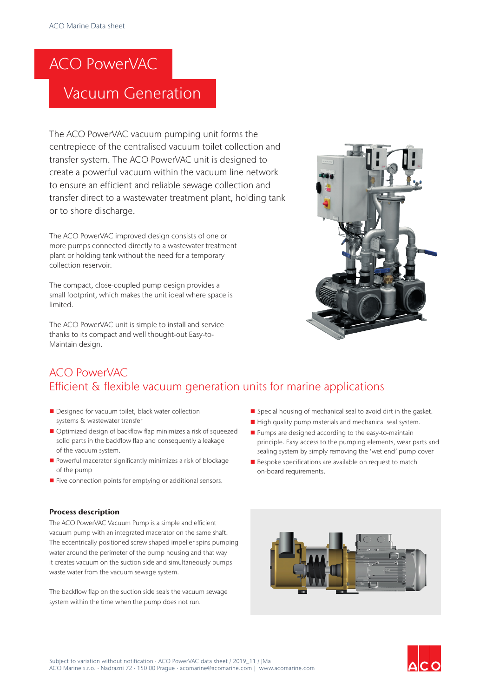# ACO PowerVAC

## Vacuum Generation

The ACO PowerVAC vacuum pumping unit forms the centrepiece of the centralised vacuum toilet collection and transfer system. The ACO PowerVAC unit is designed to create a powerful vacuum within the vacuum line network to ensure an efficient and reliable sewage collection and transfer direct to a wastewater treatment plant, holding tank or to shore discharge.

The ACO PowerVAC improved design consists of one or more pumps connected directly to a wastewater treatment plant or holding tank without the need for a temporary collection reservoir.

The compact, close-coupled pump design provides a small footprint, which makes the unit ideal where space is limited.

The ACO PowerVAC unit is simple to install and service thanks to its compact and well thought-out Easy-to-Maintain design.



### ACO PowerVAC Efficient & flexible vacuum generation units for marine applications

- Designed for vacuum toilet, black water collection systems & wastewater transfer
- Optimized design of backflow flap minimizes a risk of squeezed solid parts in the backflow flap and consequently a leakage of the vacuum system.
- Powerful macerator significantly minimizes a risk of blockage of the pump
- $\blacksquare$  Five connection points for emptying or additional sensors.

#### Process description

The ACO PowerVAC Vacuum Pump is a simple and efficient vacuum pump with an integrated macerator on the same shaft. The eccentrically positioned screw shaped impeller spins pumping water around the perimeter of the pump housing and that way it creates vacuum on the suction side and simultaneously pumps waste water from the vacuum sewage system.

The backflow flap on the suction side seals the vacuum sewage system within the time when the pump does not run.

- Special housing of mechanical seal to avoid dirt in the gasket.
- $\blacksquare$  High quality pump materials and mechanical seal system.
- $\blacksquare$  Pumps are designed according to the easy-to-maintain principle. Easy access to the pumping elements, wear parts and sealing system by simply removing the 'wet end' pump cover
- $\blacksquare$  Bespoke specifications are available on request to match on-board requirements.